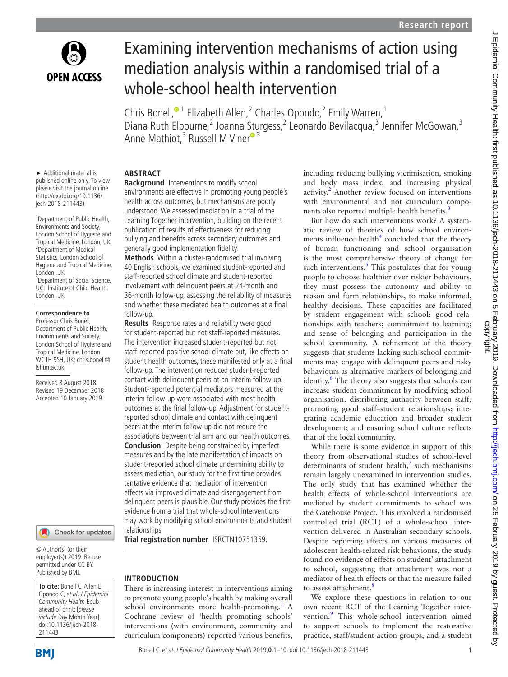

# Examining intervention mechanisms of action using mediation analysis within a randomised trial of a whole-school health intervention

Chris Bonell,<sup>® 1</sup> Elizabeth Allen,<sup>2</sup> Charles Opondo,<sup>2</sup> Emily Warren,<sup>1</sup> Diana Ruth Elbourne,<sup>2</sup> Joanna Sturgess,<sup>2</sup> Leonardo Bevilacqua,<sup>3</sup> Jennifer McGowan,<sup>3</sup> Anne Mathiot,<sup>3</sup> Russell M Vine[r](http://orcid.org/0000-0003-3047-2247)<sup>® 3</sup>

► Additional material is published online only. To view please visit the journal online (http://dx.doi.org/10.1136/ jech-2018-211443).

1 Department of Public Health, Environments and Society, London School of Hygiene and Tropical Medicine, London, UK 2 Department of Medical Statistics, London School of Hygiene and Tropical Medicine, London, UK <sup>3</sup>Department of Social Science, UCL Institute of Child Health, London, UK

#### **Correspondence to**

Professor Chris Bonell, Department of Public Health, Environments and Society, London School of Hygiene and Tropical Medicine, London WC1H 9SH, UK; chris.bonell@ lshtm.ac.uk

Received 8 August 2018 Revised 19 December 2018 Accepted 10 January 2019



© Author(s) (or their employer(s)) 2019. Re-use permitted under CC BY. Published by BMJ.

**To cite:** Bonell C, Allen E, Opondo C, et al. J Epidemiol Community Health Epub ahead of print: [please include Day Month Year]. doi:10.1136/jech-2018- 211443

# **Abstract**

**Background** Interventions to modify school environments are effective in promoting young people's health across outcomes, but mechanisms are poorly understood. We assessed mediation in a trial of the Learning Together intervention, building on the recent publication of results of effectiveness for reducing bullying and benefits across secondary outcomes and generally good implementation fidelity.

**Methods** Within a cluster-randomised trial involving 40 English schools, we examined student-reported and staff-reported school climate and student-reported involvement with delinquent peers at 24-month and 36-month follow-up, assessing the reliability of measures and whether these mediated health outcomes at a final follow-up.

**Results** Response rates and reliability were good for student-reported but not staff-reported measures. The intervention increased student-reported but not staff-reported-positive school climate but, like effects on student health outcomes, these manifested only at a final follow-up. The intervention reduced student-reported contact with delinquent peers at an interim follow-up. Student-reported potential mediators measured at the interim follow-up were associated with most health outcomes at the final follow-up. Adjustment for studentreported school climate and contact with delinquent peers at the interim follow-up did not reduce the associations between trial arm and our health outcomes. **Conclusion** Despite being constrained by imperfect measures and by the late manifestation of impacts on student-reported school climate undermining ability to assess mediation, our study for the first time provides tentative evidence that mediation of intervention effects via improved climate and disengagement from delinquent peers is plausible. Our study provides the first evidence from a trial that whole-school interventions may work by modifying school environments and student relationships.

**Trial registration number** <ISRCTN10751359>.

## **Introduction**

There is increasing interest in interventions aiming to promote young people's health by making overall school environments more health-promoting.<sup>[1](#page-8-0)</sup> A Cochrane review of 'health promoting schools' interventions (with environment, community and curriculum components) reported various benefits,

including reducing bullying victimisation, smoking and body mass index, and increasing physical activity.<sup>2</sup> Another review focused on interventions with environmental and not curriculum components also reported multiple health benefits.<sup>3</sup>

But how do such interventions work? A systematic review of theories of how school environments influence health $4$  concluded that the theory of human functioning and school organisation is the most comprehensive theory of change for such interventions. $<sup>5</sup>$  This postulates that for young</sup> people to choose healthier over riskier behaviours, they must possess the autonomy and ability to reason and form relationships, to make informed, healthy decisions. These capacities are facilitated by student engagement with school: good relationships with teachers; commitment to learning; and sense of belonging and participation in the school community. A refinement of the theory suggests that students lacking such school commitments may engage with delinquent peers and risky behaviours as alternative markers of belonging and identity.<sup>[6](#page-9-1)</sup> The theory also suggests that schools can increase student commitment by modifying school organisation: distributing authority between staff; promoting good staff–student relationships; integrating academic education and broader student development; and ensuring school culture reflects that of the local community.

While there is some evidence in support of this theory from observational studies of school-level determinants of student health, $\frac{7}{7}$  such mechanisms remain largely unexamined in intervention studies. The only study that has examined whether the health effects of whole-school interventions are mediated by student commitments to school was the Gatehouse Project. This involved a randomised controlled trial (RCT) of a whole-school intervention delivered in Australian secondary schools. Despite reporting effects on various measures of adolescent health-related risk behaviours, the study found no evidence of effects on student' attachment to school, suggesting that attachment was not a mediator of health effects or that the measure failed to assess attachment.<sup>[8](#page-9-3)</sup>

We explore these questions in relation to our own recent RCT of the Learning Together inter-vention.<sup>[9](#page-9-4)</sup> This whole-school intervention aimed to support schools to implement the restorative practice, staff/student action groups, and a student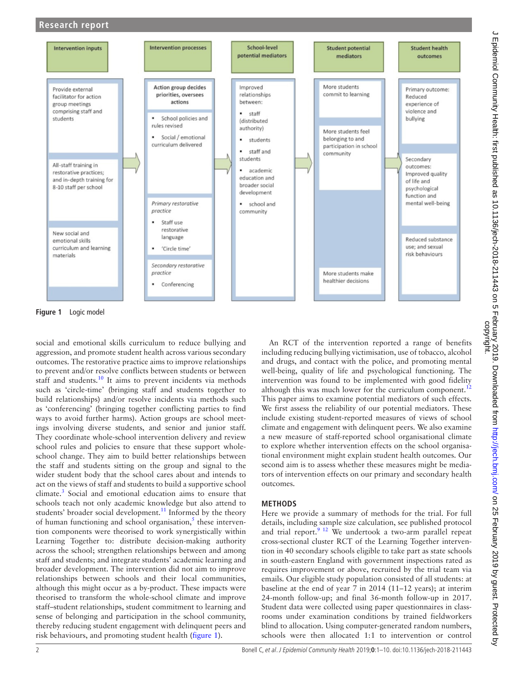# **Research report**



<span id="page-1-0"></span>**Figure 1** Logic model

social and emotional skills curriculum to reduce bullying and aggression, and promote student health across various secondary outcomes. The restorative practice aims to improve relationships to prevent and/or resolve conflicts between students or between staff and students.<sup>10</sup> It aims to prevent incidents via methods such as 'circle-time' (bringing staff and students together to build relationships) and/or resolve incidents via methods such as 'conferencing' (bringing together conflicting parties to find ways to avoid further harms). Action groups are school meetings involving diverse students, and senior and junior staff. They coordinate whole-school intervention delivery and review school rules and policies to ensure that these support wholeschool change. They aim to build better relationships between the staff and students sitting on the group and signal to the wider student body that the school cares about and intends to act on the views of staff and students to build a supportive school climate.<sup>3</sup> Social and emotional education aims to ensure that schools teach not only academic knowledge but also attend to students' broader social development.<sup>[11](#page-9-6)</sup> Informed by the theory of human functioning and school organisation, $<sup>5</sup>$  $<sup>5</sup>$  $<sup>5</sup>$  these interven-</sup> tion components were theorised to work synergistically within Learning Together to: distribute decision-making authority across the school; strengthen relationships between and among staff and students; and integrate students' academic learning and broader development. The intervention did not aim to improve relationships between schools and their local communities, although this might occur as a by-product. These impacts were theorised to transform the whole-school climate and improve staff–student relationships, student commitment to learning and sense of belonging and participation in the school community, thereby reducing student engagement with delinquent peers and risk behaviours, and promoting student health ([figure](#page-1-0) 1).

An RCT of the intervention reported a range of benefits including reducing bullying victimisation, use of tobacco, alcohol and drugs, and contact with the police, and promoting mental well-being, quality of life and psychological functioning. The intervention was found to be implemented with good fidelity although this was much lower for the curriculum component.<sup>[12](#page-9-7)</sup> This paper aims to examine potential mediators of such effects. We first assess the reliability of our potential mediators. These include existing student-reported measures of views of school climate and engagement with delinquent peers. We also examine a new measure of staff-reported school organisational climate to explore whether intervention effects on the school organisational environment might explain student health outcomes. Our second aim is to assess whether these measures might be mediators of intervention effects on our primary and secondary health outcomes.

## **Methods**

Here we provide a summary of methods for the trial. For full details, including sample size calculation, see published protocol and trial report.<sup>9 12</sup> We undertook a two-arm parallel repeat cross-sectional cluster RCT of the Learning Together intervention in 40 secondary schools eligible to take part as state schools in south-eastern England with government inspections rated as requires improvement or above, recruited by the trial team via emails. Our eligible study population consisted of all students: at baseline at the end of year 7 in 2014 (11–12 years); at interim 24-month follow-up; and final 36-month follow-up in 2017. Student data were collected using paper questionnaires in classrooms under examination conditions by trained fieldworkers blind to allocation. Using computer-generated random numbers, schools were then allocated 1:1 to intervention or control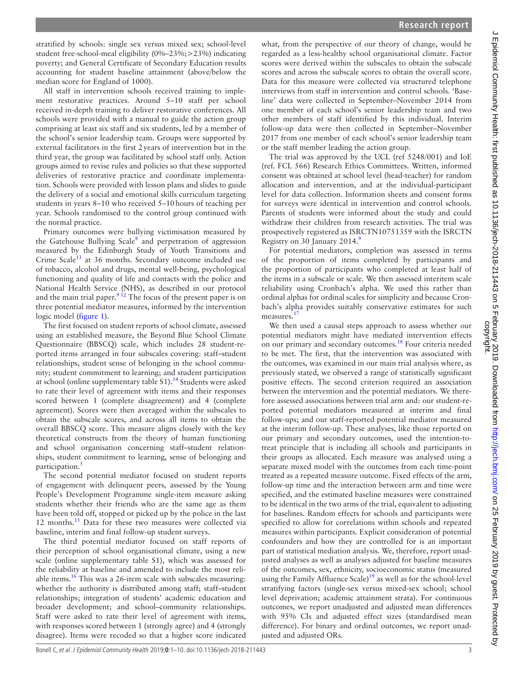stratified by schools: single sex versus mixed sex; school-level student free-school-meal eligibility (0%–23%;>23%) indicating poverty; and General Certificate of Secondary Education results accounting for student baseline attainment (above/below the median score for England of 1000).

All staff in intervention schools received training to implement restorative practices. Around 5–10 staff per school received in-depth training to deliver restorative conferences. All schools were provided with a manual to guide the action group comprising at least six staff and six students, led by a member of the school's senior leadership team. Groups were supported by external facilitators in the first 2years of intervention but in the third year, the group was facilitated by school staff only. Action groups aimed to revise rules and policies so that these supported deliveries of restorative practice and coordinate implementation. Schools were provided with lesson plans and slides to guide the delivery of a social and emotional skills curriculum targeting students in years 8–10 who received 5–10hours of teaching per year. Schools randomised to the control group continued with the normal practice.

Primary outcomes were bullying victimisation measured by the Gatehouse Bullying Scale<sup>8</sup> and perpetration of aggression measured by the Edinburgh Study of Youth Transitions and Crime Scale<sup>13</sup> at 36 months. Secondary outcome included use of tobacco, alcohol and drugs, mental well-being, psychological functioning and quality of life and contacts with the police and National Health Service (NHS), as described in our protocol and the main trial paper. $9^{12}$  The focus of the present paper is on three potential mediator measures, informed by the intervention logic model ([figure](#page-1-0) 1).

The first focused on student reports of school climate, assessed using an established measure, the Beyond Blue School Climate Questionnaire (BBSCQ) scale, which includes 28 student-reported items arranged in four subscales covering: staff–student relationships, student sense of belonging in the school community; student commitment to learning; and student participation at school (online [supplementary table S1\)](https://dx.doi.org/10.1136/jech-2018-211443).<sup>[14](#page-9-9)</sup> Students were asked to rate their level of agreement with items and their responses scored between 1 (complete disagreement) and 4 (complete agreement). Scores were then averaged within the subscales to obtain the subscale scores, and across all items to obtain the overall BBSCQ score. This measure aligns closely with the key theoretical constructs from the theory of human functioning and school organisation concerning staff–student relationships, student commitment to learning, sense of belonging and participation.<sup>[5](#page-9-0)</sup>

The second potential mediator focused on student reports of engagement with delinquent peers, assessed by the Young People's Development Programme single-item measure asking students whether their friends who are the same age as them have been told off, stopped or picked up by the police in the last 12 months.<sup>15</sup> Data for these two measures were collected via baseline, interim and final follow-up student surveys.

The third potential mediator focused on staff reports of their perception of school organisational climate, using a new scale (online [supplementary table S1\)](https://dx.doi.org/10.1136/jech-2018-211443), which was assessed for the reliability at baseline and amended to include the most reliable items.[16](#page-9-11) This was a 26-item scale with subscales measuring: whether the authority is distributed among staff; staff–student relationships; integration of students' academic education and broader development; and school–community relationships. Staff were asked to rate their level of agreement with items, with responses scored between 1 (strongly agree) and 4 (strongly disagree). Items were recoded so that a higher score indicated

what, from the perspective of our theory of change, would be regarded as a less-healthy school organisational climate. Factor scores were derived within the subscales to obtain the subscale scores and across the subscale scores to obtain the overall score. Data for this measure were collected via structured telephone interviews from staff in intervention and control schools. 'Baseline' data were collected in September–November 2014 from one member of each school's senior leadership team and two other members of staff identified by this individual. Interim follow-up data were then collected in September–November 2017 from one member of each school's senior leadership team or the staff member leading the action group.

The trial was approved by the UCL (ref 5248/001) and IoE (ref. FCL 566) Research Ethics Committees. Written, informed consent was obtained at school level (head-teacher) for random allocation and intervention, and at the individual-participant level for data collection. Information sheets and consent forms for surveys were identical in intervention and control schools. Parents of students were informed about the study and could withdraw their children from research activities. The trial was prospectively registered as ISRCTN10751359 with the ISRCTN Registry on 30 January 2014.[9](#page-9-4)

For potential mediators, completion was assessed in terms of the proportion of items completed by participants and the proportion of participants who completed at least half of the items in a subscale or scale. We then assessed interitem scale reliability using Cronbach's alpha. We used this rather than ordinal alphas for ordinal scales for simplicity and because Cronbach's alpha provides suitably conservative estimates for such measures. $<sup>1</sup>$ </sup>

We then used a causal steps approach to assess whether our potential mediators might have mediated intervention effects on our primary and secondary outcomes.<sup>[18](#page-9-13)</sup> Four criteria needed to be met. The first, that the intervention was associated with the outcomes, was examined in our main trial analysis where, as previously stated, we observed a range of statistically significant positive effects. The second criterion required an association between the intervention and the potential mediators. We therefore assessed associations between trial arm and: our student-reported potential mediators measured at interim and final follow-ups; and our staff-reported potential mediator measured at the interim follow-up. These analyses, like those reported on our primary and secondary outcomes, used the intention-totreat principle that is including all schools and participants in their groups as allocated. Each measure was analysed using a separate mixed model with the outcomes from each time-point treated as a repeated measure outcome. Fixed effects of the arm, follow-up time and the interaction between arm and time were specified, and the estimated baseline measures were constrained to be identical in the two arms of the trial, equivalent to adjusting for baselines. Random effects for schools and participants were specified to allow for correlations within schools and repeated measures within participants. Explicit consideration of potential confounders and how they are controlled for is an important part of statistical mediation analysis. We, therefore, report unadjusted analyses as well as analyses adjusted for baseline measures of the outcomes, sex, ethnicity, socioeconomic status (measured using the Family Affluence Scale) $19$  as well as for the school-level stratifying factors (single-sex versus mixed-sex school; school level deprivation; academic attainment strata). For continuous outcomes, we report unadjusted and adjusted mean differences with 95% CIs and adjusted effect sizes (standardised mean difference). For binary and ordinal outcomes, we report unadjusted and adjusted ORs.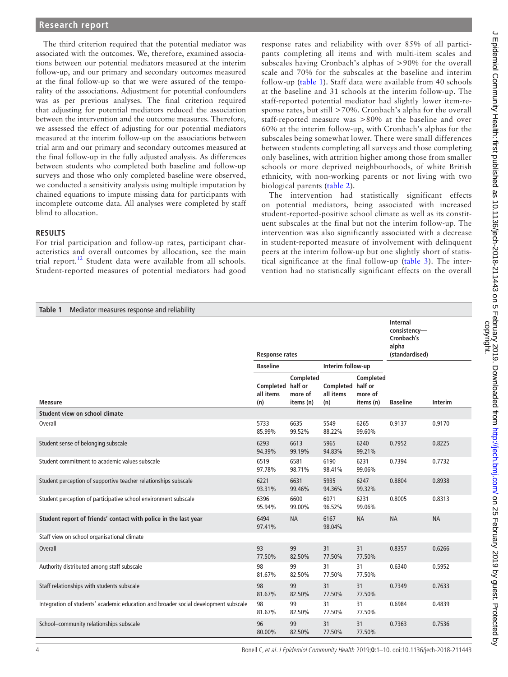The third criterion required that the potential mediator was associated with the outcomes. We, therefore, examined associations between our potential mediators measured at the interim follow-up, and our primary and secondary outcomes measured at the final follow-up so that we were assured of the temporality of the associations. Adjustment for potential confounders was as per previous analyses. The final criterion required that adjusting for potential mediators reduced the association between the intervention and the outcome measures. Therefore, we assessed the effect of adjusting for our potential mediators measured at the interim follow-up on the associations between trial arm and our primary and secondary outcomes measured at the final follow-up in the fully adjusted analysis. As differences between students who completed both baseline and follow-up surveys and those who only completed baseline were observed, we conducted a sensitivity analysis using multiple imputation by chained equations to impute missing data for participants with incomplete outcome data. All analyses were completed by staff blind to allocation.

#### **Results**

For trial participation and follow-up rates, participant characteristics and overall outcomes by allocation, see the main trial report.<sup>[12](#page-9-7)</sup> Student data were available from all schools. Student-reported measures of potential mediators had good

response rates and reliability with over 85% of all participants completing all items and with multi-item scales and subscales having Cronbach's alphas of >90% for the overall scale and 70% for the subscales at the baseline and interim follow-up ([table](#page-3-0) 1). Staff data were available from 40 schools at the baseline and 31 schools at the interim follow-up. The staff-reported potential mediator had slightly lower item-response rates, but still >70%. Cronbach's alpha for the overall staff-reported measure was >80% at the baseline and over 60% at the interim follow-up, with Cronbach's alphas for the subscales being somewhat lower. There were small differences between students completing all surveys and those completing only baselines, with attrition higher among those from smaller schools or more deprived neighbourhoods, of white British ethnicity, with non-working parents or not living with two biological parents ([table](#page-4-0) 2).

The intervention had statistically significant effects on potential mediators, being associated with increased student-reported-positive school climate as well as its constituent subscales at the final but not the interim follow-up. The intervention was also significantly associated with a decrease in student-reported measure of involvement with delinquent peers at the interim follow-up but one slightly short of statistical significance at the final follow-up ([table](#page-5-0) 3). The intervention had no statistically significant effects on the overall

<span id="page-3-0"></span>

| Table 1<br>Mediator measures response and reliability                               |                                       |                                   |                                       |                                   |                                                                          |           |
|-------------------------------------------------------------------------------------|---------------------------------------|-----------------------------------|---------------------------------------|-----------------------------------|--------------------------------------------------------------------------|-----------|
|                                                                                     | <b>Response rates</b>                 |                                   |                                       |                                   | <b>Internal</b><br>consistency-<br>Cronbach's<br>alpha<br>(standardised) |           |
|                                                                                     | <b>Baseline</b>                       |                                   | Interim follow-up                     |                                   |                                                                          |           |
| <b>Measure</b>                                                                      | Completed half or<br>all items<br>(n) | Completed<br>more of<br>items (n) | Completed half or<br>all items<br>(n) | Completed<br>more of<br>items (n) | <b>Baseline</b>                                                          | Interim   |
| Student view on school climate                                                      |                                       |                                   |                                       |                                   |                                                                          |           |
| Overall                                                                             | 5733<br>85.99%                        | 6635<br>99.52%                    | 5549<br>88.22%                        | 6265<br>99.60%                    | 0.9137                                                                   | 0.9170    |
| Student sense of belonging subscale                                                 | 6293<br>94.39%                        | 6613<br>99.19%                    | 5965<br>94.83%                        | 6240<br>99.21%                    | 0.7952                                                                   | 0.8225    |
| Student commitment to academic values subscale                                      | 6519<br>97.78%                        | 6581<br>98.71%                    | 6190<br>98.41%                        | 6231<br>99.06%                    | 0.7394                                                                   | 0.7732    |
| Student perception of supportive teacher relationships subscale                     | 6221<br>93.31%                        | 6631<br>99.46%                    | 5935<br>94.36%                        | 6247<br>99.32%                    | 0.8804                                                                   | 0.8938    |
| Student perception of participative school environment subscale                     | 6396<br>95.94%                        | 6600<br>99.00%                    | 6071<br>96.52%                        | 6231<br>99.06%                    | 0.8005                                                                   | 0.8313    |
| Student report of friends' contact with police in the last year                     | 6494<br>97.41%                        | <b>NA</b>                         | 6167<br>98.04%                        | <b>NA</b>                         | <b>NA</b>                                                                | <b>NA</b> |
| Staff view on school organisational climate                                         |                                       |                                   |                                       |                                   |                                                                          |           |
| <b>Overall</b>                                                                      | 93<br>77.50%                          | 99<br>82.50%                      | 31<br>77.50%                          | 31<br>77.50%                      | 0.8357                                                                   | 0.6266    |
| Authority distributed among staff subscale                                          | 98<br>81.67%                          | 99<br>82.50%                      | 31<br>77.50%                          | 31<br>77.50%                      | 0.6340                                                                   | 0.5952    |
| Staff relationships with students subscale                                          | 98<br>81.67%                          | 99<br>82.50%                      | 31<br>77.50%                          | 31<br>77.50%                      | 0.7349                                                                   | 0.7633    |
| Integration of students' academic education and broader social development subscale | 98<br>81.67%                          | 99<br>82.50%                      | 31<br>77.50%                          | 31<br>77.50%                      | 0.6984                                                                   | 0.4839    |
| School-community relationships subscale                                             | 96<br>80.00%                          | 99<br>82.50%                      | 31<br>77.50%                          | 31<br>77.50%                      | 0.7363                                                                   | 0.7536    |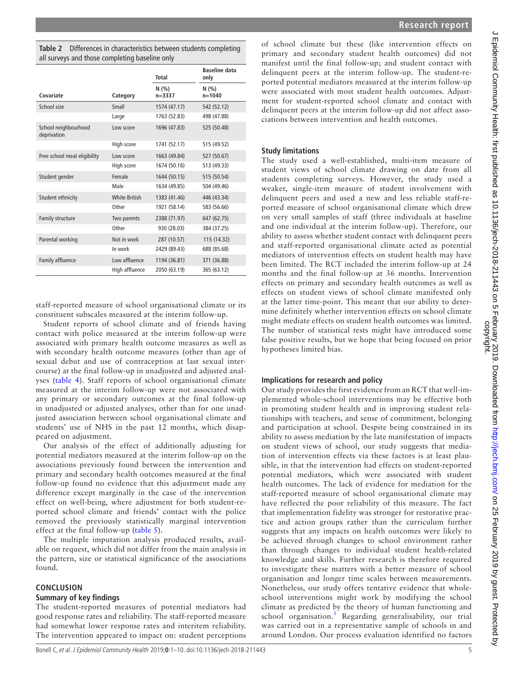<span id="page-4-0"></span>

|                                     |                      | Total               | <b>Baseline data</b><br>only |
|-------------------------------------|----------------------|---------------------|------------------------------|
| Covariate                           | Category             | N(% )<br>$n = 3337$ | N(% )<br>$n = 1040$          |
| School size                         | Small                | 1574 (47.17)        | 542 (52.12)                  |
|                                     | Large                | 1763 (52.83)        | 498 (47.88)                  |
| School neighbourhood<br>deprivation | Low score            | 1696 (47.83)        | 525 (50.48)                  |
|                                     | High score           | 1741 (52.17)        | 515 (49.52)                  |
| Free school meal eligibility        | Low score            | 1663 (49.84)        | 527 (50.67)                  |
|                                     | High score           | 1674 (50.16)        | 513 (49.33)                  |
| Student gender                      | Female               | 1644 (50.15)        | 515 (50.54)                  |
|                                     | Male                 | 1634 (49.85)        | 504 (49.46)                  |
| Student ethnicity                   | <b>White British</b> | 1383 (41.46)        | 446 (43.34)                  |
|                                     | Other                | 1921 (58.14)        | 583 (56.66)                  |
| Family structure                    | Two parents          | 2388 (71.97)        | 647 (62.75)                  |
|                                     | Other                | 930 (28.03)         | 384 (37.25)                  |
| Parental working                    | Not in work          | 287 (10.57)         | 115 (14.32)                  |
|                                     | In work              | 2429 (89.43)        | 688 (85.68)                  |
| Family affluence                    | Low affluence        | 1194 (36.81)        | 371 (36.88)                  |
|                                     | High affluence       | 2050 (63.19)        | 365 (63.12)                  |

staff-reported measure of school organisational climate or its constituent subscales measured at the interim follow-up.

Student reports of school climate and of friends having contact with police measured at the interim follow-up were associated with primary health outcome measures as well as with secondary health outcome measures (other than age of sexual debut and use of contraception at last sexual intercourse) at the final follow-up in unadjusted and adjusted analyses ([table](#page-6-0) 4). Staff reports of school organisational climate measured at the interim follow-up were not associated with any primary or secondary outcomes at the final follow-up in unadjusted or adjusted analyses, other than for one unadjusted association between school organisational climate and students' use of NHS in the past 12 months, which disappeared on adjustment.

Our analysis of the effect of additionally adjusting for potential mediators measured at the interim follow-up on the associations previously found between the intervention and primary and secondary health outcomes measured at the final follow-up found no evidence that this adjustment made any difference except marginally in the case of the intervention effect on well-being, where adjustment for both student-reported school climate and friends' contact with the police removed the previously statistically marginal intervention effect at the final follow-up ([table](#page-7-0) 5).

The multiple imputation analysis produced results, available on request, which did not differ from the main analysis in the pattern, size or statistical significance of the associations found.

#### **Conclusion**

#### **Summary of key findings**

The student-reported measures of potential mediators had good response rates and reliability. The staff-reported measure had somewhat lower response rates and interitem reliability. The intervention appeared to impact on: student perceptions

of school climate but these (like intervention effects on primary and secondary student health outcomes) did not manifest until the final follow-up; and student contact with delinquent peers at the interim follow-up. The student-reported potential mediators measured at the interim follow-up were associated with most student health outcomes. Adjustment for student-reported school climate and contact with delinquent peers at the interim follow-up did not affect associations between intervention and health outcomes.

## **Study limitations**

The study used a well-established, multi-item measure of student views of school climate drawing on date from all students completing surveys. However, the study used a weaker, single-item measure of student involvement with delinquent peers and used a new and less reliable staff-reported measure of school organisational climate which drew on very small samples of staff (three individuals at baseline and one individual at the interim follow-up). Therefore, our ability to assess whether student contact with delinquent peers and staff-reported organisational climate acted as potential mediators of intervention effects on student health may have been limited. The RCT included the interim follow-up at 24 months and the final follow-up at 36 months. Intervention effects on primary and secondary health outcomes as well as effects on student views of school climate manifested only at the latter time-point. This meant that our ability to determine definitely whether intervention effects on school climate might mediate effects on student health outcomes was limited. The number of statistical tests might have introduced some false positive results, but we hope that being focused on prior hypotheses limited bias.

## **Implications for research and policy**

Our study provides the first evidence from an RCT that well-implemented whole-school interventions may be effective both in promoting student health and in improving student relationships with teachers, and sense of commitment, belonging and participation at school. Despite being constrained in its ability to assess mediation by the late manifestation of impacts on student views of school, our study suggests that mediation of intervention effects via these factors is at least plausible, in that the intervention had effects on student-reported potential mediators, which were associated with student health outcomes. The lack of evidence for mediation for the staff-reported measure of school organisational climate may have reflected the poor reliability of this measure. The fact that implementation fidelity was stronger for restorative practice and action groups rather than the curriculum further suggests that any impacts on health outcomes were likely to be achieved through changes to school environment rather than through changes to individual student health-related knowledge and skills. Further research is therefore required to investigate these matters with a better measure of school organisation and longer time scales between measurements. Nonetheless, our study offers tentative evidence that wholeschool interventions might work by modifying the school climate as predicted by the theory of human functioning and school organisation.<sup>[5](#page-9-0)</sup> Regarding generalisability, our trial was carried out in a representative sample of schools in and around London. Our process evaluation identified no factors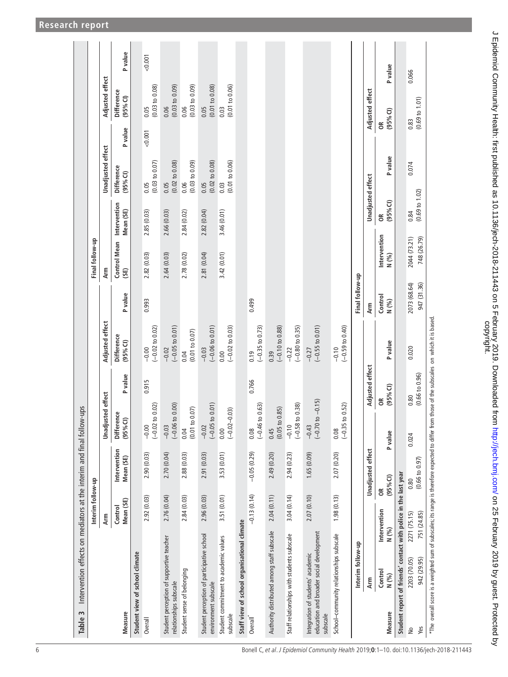<span id="page-5-0"></span>

| Intervention effects on mediators at the interim and final follow-ups<br>Table 3                  |                                      |                           |                                  |                      |                                             |                             |                             |                                             |                                   |            |                                             |         |
|---------------------------------------------------------------------------------------------------|--------------------------------------|---------------------------|----------------------------------|----------------------|---------------------------------------------|-----------------------------|-----------------------------|---------------------------------------------|-----------------------------------|------------|---------------------------------------------|---------|
|                                                                                                   | Interim follow-up                    |                           |                                  |                      |                                             |                             | Final follow-up             |                                             |                                   |            |                                             |         |
|                                                                                                   | Arm                                  |                           | Unadjusted effect                |                      | Adjusted effect                             |                             | Arm                         |                                             | Unadjusted effect                 |            | Adjusted effect                             |         |
| Measure                                                                                           | Mean (SE)<br>Control                 | Intervention<br>Mean (SE) | <b>Difference</b><br>(95%C)      | P value              | <b>Difference</b><br>$(95%$ CI)             | P value                     | Control Mean<br>(SE)        | Intervention<br>Mean (SE)                   | <b>Difference</b><br>$(95%$ CI)   | P value    | <b>Difference</b><br>(95% <sup>o</sup> (1)) | P value |
| Student view of school climate                                                                    |                                      |                           |                                  |                      |                                             |                             |                             |                                             |                                   |            |                                             |         |
| Overall                                                                                           | 2.92 (0.03)                          | 2.90(0.03)                | 0.02)<br>$(-0.02 to$<br>$-0.00$  | 0.915                | $(-0.02 to 0.02)$<br>$-0.00$                | 0.993                       | 2.82 (0.03)                 | 2.85 (0.03)                                 | $(0.03 \text{ to } 0.07)$<br>0.05 | 0.001      | (0.03 to 0.08)<br>0.05                      | 0.001   |
| Student perception of supportive teacher<br>relationships subscale                                | 2.76 (0.04)                          | 2.70 (0.04)               | 0.00<br>$(-0.06 t$<br>$-0.03$    |                      | $(-0.05 t 0.01)$<br>$-0.02$                 |                             | 2.64(0.03)                  | 2.66 (0.03)                                 | $(0.02 \text{ to } 0.08)$<br>0.05 |            | $(0.03 \text{ to } 0.09)$<br>0.06           |         |
| Student sense of belonging                                                                        | 2.84(0.03)                           | 2.88 (0.03)               | 0.07<br>$(0.01)$ to $($<br>0.04  |                      | (0.01 to 0.07)<br>0.04                      |                             | 2.78 (0.02)                 | 2.84(0.02)                                  | (0.03 to 0.09)<br>0.06            |            | $(0.03 \text{ to } 0.09)$<br>0.06           |         |
| Student perception of participative school<br>environment subscale                                | 2.96(0.03)                           | 2.91 (0.03)               | 0.01)<br>$(-0.05 to$<br>$-0.02$  |                      | $(-0.06 t0 0.01)$<br>$-0.03$                |                             | 2.81 (0.04)                 | 2.82(0.04)                                  | $(0.02 \text{ to } 0.08)$<br>0.05 |            | $(0.01 \text{ to } 0.08)$<br>0.05           |         |
| Student commitment to academic values<br>subscale                                                 | 3.51 (0.01)                          | 3.53 (0.01)               | (60, 0)<br>$(-0.02 - 0)$<br>0.00 |                      | $(-0.02 to 0.03)$<br>0.00                   |                             | 3.42 (0.01)                 | 3.46 (0.01)                                 | (0.01 to 0.06)<br>0.03            |            | (0.01 to 0.06)<br>0.03                      |         |
| Staff view of school organisational climate                                                       |                                      |                           |                                  |                      |                                             |                             |                             |                                             |                                   |            |                                             |         |
| Overall <sup>*</sup>                                                                              | $-0.13(0.14)$                        | $-0.05(0.29)$             | 0.63)<br>$(-0.46)$<br>0.08       | 0.766                | $(-0.35$ to 0.73)<br>0.19                   | 0.499                       |                             |                                             |                                   |            |                                             |         |
| Authority distributed among staff subscale                                                        | 2.04(0.11)                           | 2.49 (0.20)               | 0.85<br>$0.45$<br>(0.05 to 0     |                      | $(-0.10 to 0.88)$<br>0.39                   |                             |                             |                                             |                                   |            |                                             |         |
| Staff relationships with students subscale                                                        | 3.04(0.14)                           | 2.94 (0.23)               | 0.38)<br>$(-0.58)$<br>$-0.10$    |                      | $(-0.80 to 0.35)$<br>$-0.22$                |                             |                             |                                             |                                   |            |                                             |         |
| education and broader social development<br>Integration of students' academic<br>subscale         | 2.07(0.10)                           | 1.65(0.09)                | $-0.15$<br>$(-0.70)$<br>$-0.43$  |                      | $(-0.55$ to $0.01)$<br>$-0.27$              |                             |                             |                                             |                                   |            |                                             |         |
| School-community relationships subscale                                                           | 1.98(0.13)                           | 2.07 (0.20)               | 0.52)<br>$(-0.35)$<br>0.08       |                      | $(-0.59 to 0.40)$<br>$-0.10$                |                             |                             |                                             |                                   |            |                                             |         |
| Interim follow-up                                                                                 |                                      |                           |                                  |                      |                                             | Final follow-up             |                             |                                             |                                   |            |                                             |         |
| Arm                                                                                               |                                      | Unadjusted effect         |                                  | Adjusted effect      |                                             | Arm                         |                             | Unadjusted effect                           |                                   |            | Adjusted effect                             |         |
| N (%)<br>Control<br>N (%)<br><b>Measure</b>                                                       | $\tilde{\mathrm{e}}$<br>Intervention | (95% <sup>2</sup> )       | $\epsilon$<br>P value            | (95% <sup>o</sup> () | P value                                     | Control<br>N (%)            | Intervention<br>N (%)       | (95% <sup>2</sup> )<br>$\widetilde{\sigma}$ | P value                           | $\epsilon$ | (95% <sup>o</sup> (1))                      | P value |
| Student report of friends' contact with police in the last year                                   |                                      |                           |                                  |                      |                                             |                             |                             |                                             |                                   |            |                                             |         |
| 942 (29.95)<br>2203 (70.05)<br>Yes<br>$\stackrel{\circ}{\simeq}$                                  | 751 (24.85)<br>2271 (75.15)          | (0.66 t 0.97)<br>0.80     | 0.80<br>0.024                    | (0.66 to 0.96)       | 0.020                                       | 947 (31.36)<br>2073 (68.64) | 2044 (73.21)<br>748 (26.79) | $(0.69 \text{ to } 1.02)$<br>0.84           | 0.074                             | 0.83       | (0.69 to 1.01)                              | 0.066   |
| *The overall score is a weighted sum of subscales; its range is therefore expected to differ from |                                      |                           |                                  |                      | those of the subscales on which it is based |                             |                             |                                             |                                   |            |                                             |         |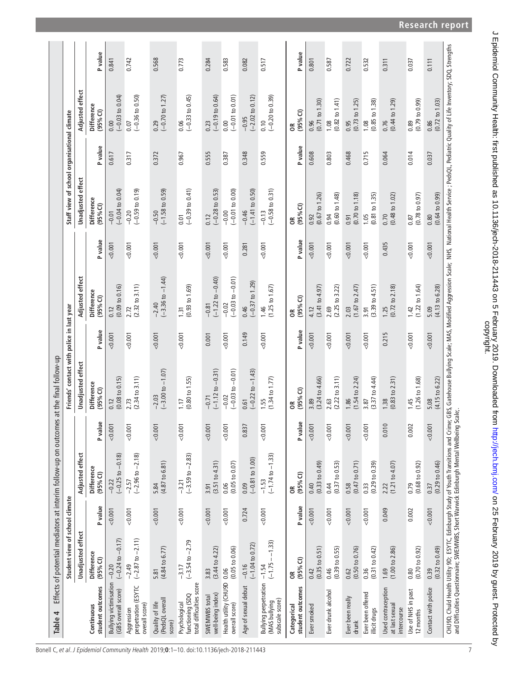<span id="page-6-0"></span>

| Table 4                                                          |                                          |         |                                        |         | Effects of potential mediators at interim follow-up on outcomes at the final follow-up                                                                                                                                         |         |                                          |         |                                             |                |                                             |         |
|------------------------------------------------------------------|------------------------------------------|---------|----------------------------------------|---------|--------------------------------------------------------------------------------------------------------------------------------------------------------------------------------------------------------------------------------|---------|------------------------------------------|---------|---------------------------------------------|----------------|---------------------------------------------|---------|
|                                                                  | Student view of school climate           |         |                                        |         | Friends' contact with police in last year                                                                                                                                                                                      |         |                                          |         | Staff view of school organisational climate |                |                                             |         |
|                                                                  | <b>Unadjusted effect</b>                 |         | Adjusted effect                        |         | <b>Unadjusted</b> effect                                                                                                                                                                                                       |         | Adjusted effect                          |         | <b>Unadjusted effect</b>                    |                | Adjusted effect                             |         |
| student outcomes<br>Continuous                                   | <b>Difference</b><br>(95% <sup>0</sup> ) | P value | <b>Difference</b><br>$(95%$ CI)        | P value | <b>Difference</b><br>$(95%$ CI)                                                                                                                                                                                                | P value | <b>Difference</b><br>(95% <sup>2</sup> ) | P value | <b>Difference</b><br>(95% <sup>0</sup> )    | <b>P</b> value | <b>Difference</b><br>(95% <sup>o</sup> (1)) | P value |
| <b>Bullying victimisation</b><br>(GBS overall score)             | $(-0.24$ to $-0.17)$<br>$-0.20$          | < 0.001 | $(-0.25 \text{ to } -0.18)$<br>$-0.22$ | 0.001   | $(0.08 \text{ to } 0.15)$<br>0.12                                                                                                                                                                                              | 0.001   | (0.09 to 0.16)<br>0.12                   | 0.001   | $(-0.04 to 0.04)$<br>$-0.01$                | 0.617          | $(-0.03 to 0.04)$<br>0.00                   | 0.841   |
| perpetration (ESYTC<br>overall score)<br>Aggression              | $(-2.87$ to $-2.11)$<br>$-2.49$          | 0.001   | $(-2.96 \text{ to } -2.18)$<br>$-2.57$ | 0.001   | $(2.34 \text{ to } 3.11)$<br>2.73                                                                                                                                                                                              | 0.001   | $(2.32 \text{ to } 3.11)$<br>2.72        | 0.001   | $(-0.59 to 0.19)$<br>$-0.20$                | 0.317          | $(-0.36 to 0.50)$<br>0.07                   | 0.742   |
| (PedsQL overall<br>Quality of life<br>score)                     | $(4.84 \text{ to } 6.77)$<br>5.81        | 0.001   | $(4.87 \text{ to } 6.81)$<br>5.84      | 0.001   | $(-3.00 \text{ to } -1.07)$<br>$-2.03$                                                                                                                                                                                         | 0.001   | $(-3.36 \text{ to } -1.44)$<br>$-2.40$   | 0.001   | $(-1.58 \text{ to } 0.59)$<br>$-0.50$       | 0.372          | $(-0.70 \text{ to } 1.27)$<br>0.29          | 0.568   |
| total difficulties score<br>functioning (SDQ<br>Psychological    | $-3.17$<br>$(-3.54 \text{ to } -2.79)$   | 0.001   | $(-3.59 \text{ to } -2.83)$<br>$-3.21$ | 0.001   | $(0.80 \text{ to } 1.55)$<br>1.17                                                                                                                                                                                              | 0.001   | $(0.93 \text{ to } 1.69)$<br>1.31        | 0.001   | $(-0.39$ to $0.41)$<br>0.01                 | 0.967          | $(-0.33 to 0.45)$<br>0.06                   | 0.773   |
| well-being index)<br>SWEMWBS total                               | $(3.44 \text{ to } 4.22)$<br>3.83        | 0.001   | (3.51 to 4.31)<br>3.91                 | 0.001   | $(-1.12$ to $-0.31)$<br>$-0.71$                                                                                                                                                                                                | 0.001   | $(-1.22$ to $-0.40)$<br>$-0.81$          | 0.001   | $(-0.28 \text{ to } 0.53)$<br>0.12          | 0.555          | $(-0.19 to 0.64)$<br>0.23                   | 0.284   |
| Health utility (CHU9D<br>overall score)                          | (0.05 to 0.06)<br>0.06                   | 0.001   | $(0.05 \text{ to } 0.07)$<br>0.06      | 0.001   | $(-0.03 \text{ to } -0.01)$<br>$-0.02$                                                                                                                                                                                         | 0.001   | $(-0.03 \text{ to } -0.01)$<br>$-0.02$   | 0.001   | $(-0.01 to 0.00)$<br>$-0.00$                | 0.387          | $(-0.01 to 0.01)$<br>0.00                   | 0.583   |
| Age of sexual debut                                              | $(-1.04 to 0.72)$<br>$-0.16$             | 0.724   | $(-0.81$ to $1.00)$<br>0.09            | 0.837   | $(-0.22 \text{ to } -1.43)$<br>0.61                                                                                                                                                                                            | 0.149   | $(-0.37$ to 1.29)<br>0.46                | 0.281   | $(-1.41$ to 0.50)<br>$-0.46$                | 0.348          | $(-2.02 \text{ to } 0.12)$<br>$-0.95$       | 0.082   |
| <b>Bullying perpetration</b><br>(MAS bullying<br>subscale score) | $(-1.75 - 1.33)$<br>$-1.54$              | 0.001   | $(-1.74 \text{ to } -1.33)$<br>$-1.53$ | 0.001   | $(1.34 \text{ to } 1.77)$<br>1.55                                                                                                                                                                                              | 0.001   | (1.25 to 1.67)<br>1.46                   | 0.001   | $(-0.58 t 0.31)$<br>$-0.13$                 | 0.559          | $(-0.20 to 0.39)$<br>0.10                   | 0.517   |
| student outcomes<br>Categorical                                  | (95% <sub>0</sub> )<br>g                 | P value | $(95%$ CI)<br>$\mathfrak{E}$           | P value | $(95%$ CI)<br>E                                                                                                                                                                                                                | P value | (95% <sup>0</sup> )<br>E                 | P value | (95% <sup>2</sup> )<br>E                    | <b>P</b> value | (95% <sup>o</sup> (1))<br>бR                | P value |
| Ever smoked                                                      | (0.35 to 0.51)<br>0.42                   | 0.001   | $(0.33 \text{ to } 0.49)$<br>0.40      | 0.001   | $(3.24 \text{ to } 4.66)$<br>3.89                                                                                                                                                                                              | 0.001   | (3.41 to 4.97)<br>4.12                   | 0.001   | $(0.67 \text{ to } 1.26)$<br>0.92           | 0.608          | (0.71 to 1.30)<br>0.96                      | 0.801   |
| Ever drunk alcohol                                               | (0.39 to 0.55)<br>0.46                   | 0.001   | $(0.37 \text{ to } 0.53)$<br>0.44      | 0.001   | $(2.22$ to $3.11)$<br>2.63                                                                                                                                                                                                     | 0.001   | (2.25 to 3.22)<br>2.69                   | 0.001   | (0.60 t0 1.48)<br>0.94                      | 0.803          | $(0.82 \text{ to } 1.41)$<br>1.08           | 0.587   |
| Ever been really<br>drunk                                        | (0.50 to 0.76)<br>0.62                   | 0.001   | $(0.47 \text{ to } 0.71)$<br>0.58      | 0.001   | (1.54 to 2.24)<br>1.86                                                                                                                                                                                                         | 0.001   | (1.67 to 2.47)<br>2.03                   | 0.001   | $(0.70 \text{ to } 1.18)$<br>0.91           | 0.468          | $(0.73 \text{ to } 1.25)$<br>0.95           | 0.722   |
| Ever been offered<br>illicit drugs                               | (0.31 to 0.42)<br>0.36                   | 0.001   | $(0.29 \text{ to } 0.39)$<br>0.33      | 0.001   | (3.37 to 4.44)<br>3.87                                                                                                                                                                                                         | 0.001   | (3.39 to 4.51)<br>3.91                   | 0.001   | $(0.81 \text{ to } 1.35)$<br>1.05           | 0.715          | (0.85 to 1.38)<br>1.08                      | 0.532   |
| Used contraception<br>at last sexual<br>intercourse              | (1.00 to 2.86)<br>1.69                   | 0.049   | $(1.21 \text{ to } 4.07)$<br>2.22      | 0.010   | $(0.83 \text{ to } 2.31)$<br>1.38                                                                                                                                                                                              | 0.215   | $(0.72 \text{ to } 2.18)$<br>1.25        | 0.435   | $(0.48 \text{ to } 1.02)$<br>0.70           | 0.064          | (0.44 t 0 1.29)<br>0.76                     | 0.311   |
| Use of NHS in past<br>12 months                                  | $(0.70 \text{ to } 0.92)$<br>0.80        | 0.002   | $(0.68 \text{ to } 0.92)$<br>0.79      | 0.002   | $(1.26 \text{ to } 1.68)$<br>1.45                                                                                                                                                                                              | 0.001   | $(1.22 \text{ to } 1.64)$<br>1.42        | 0.001   | $(0.78 \text{ to } 0.97)$<br>0.87           | 0.014          | (0.79 to 0.99)<br>0.89                      | 0.037   |
| Contact with police                                              | $(0.32 \text{ to } 0.49)$<br>0.39        | 0.001   | (0.29 to 0.46)<br>0.37                 | 0.001   | $(4.15 \text{ to } 6.22)$<br>5.08                                                                                                                                                                                              | 0.001   | $(4.13 \text{ to } 6.28)$<br>5.09        | 0.001   | $(0.64 \text{ to } 0.99)$<br>0.80           | 0.037          | $(0.72 \text{ to } 1.03)$<br>0.86           | 0.111   |
|                                                                  |                                          |         |                                        |         | CHU9D, Chuld Health Utility 9D; ESYTC, Edinburgh Study of Youth Transitions and Crime; GBS, Gatehouse Bullying Scale; MAS, Modified Aggression Scale; NHS, National Health Service ; PedsQL, Pediatric Quality of Life Invento |         |                                          |         |                                             |                |                                             |         |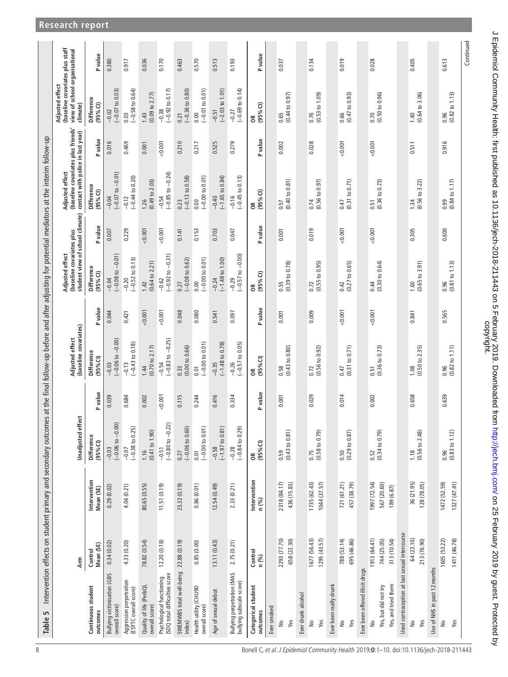<span id="page-7-0"></span>

|                                                              | Arm                                        |                                           | Unadjusted effect                         |         | (baseline covariates)<br>Adjusted effect                       |         | (baseline covariates plus<br>student view of school climate)<br>Adjusted effect |         | (baseline covariates plus friends'<br>contact with police in last year)<br>Adjusted effect |         | (baseline covariates plus staff<br>view of school organisational<br>Adjusted effect<br>climate) |           |
|--------------------------------------------------------------|--------------------------------------------|-------------------------------------------|-------------------------------------------|---------|----------------------------------------------------------------|---------|---------------------------------------------------------------------------------|---------|--------------------------------------------------------------------------------------------|---------|-------------------------------------------------------------------------------------------------|-----------|
| Continuous student<br>outcomes                               | Mean (SE)<br>Control                       | Intervention<br>Mean (SE)                 | <b>Difference</b><br>(95% <sup>o</sup> () | P value | <b>Difference</b><br>(95% <sup>0</sup> )                       | P value | <b>Difference</b><br>(95% <sup>o</sup> ()                                       | P value | Difference<br>(95% <sup>o</sup> ()                                                         | P value | Difference<br>(95% Cl)                                                                          | P value   |
| <b>Bullying victimisation (GBS</b><br>overall score)         | 0.34(0.02)                                 | 0.29(0.02)                                | $-0.03$<br>$(-0.06 \text{ to } -0.00)$    | 0.039   | $(-0.06 to -0.00)$<br>$-0.03$                                  | 0.044   | $(-0.08 \text{ to } -0.01)$<br>$-0.04$                                          | 0.007   | $-0.04$<br>$(-0.07 \text{ to } -0.01)$                                                     | 0.016   | $\frac{-0.02}{(-0.07 \text{ to } 0.03)}$                                                        | 0.380     |
| Aggression perpetration<br>(ESYTC overall score)             | 4.33 (0.20)                                | 4.04 (0.21)                               | $(-0.38$ to $0.25)$<br>$-0.07$            | 0.684   | $(-0.43 \text{ to } 0.18)$<br>$-0.13$                          | 0.421   | $(-0.52 \text{ to } 0.13)$<br>$-0.20$                                           | 0.229   | $(-0.44 to 0.20)$<br>$-0.12$                                                               | 0.469   | $0.03$<br>(-0.58 to 0.64)                                                                       | 0.917     |
| Quality of life (PedsQL<br>overall score)                    | 78.82 (0.54)                               | 80.65 (0.55)                              | $\frac{1.16}{(0.41 \text{ to } 1.90)}$    | 0.002   | $1.44$<br>(0.70 to 2.17)                                       | 0.001   | $1.42$<br>(0.64 to 2.21)                                                        | 0.001   | $1.26$<br>(0.49 to 2.03)                                                                   | 0.001   | $1.43$<br>(0.09 to 2.77)                                                                        | 0.036     |
| (SDQ total difficulties score<br>Psychological functioning   | 12.20(0.18)                                | 11.51(0.19)                               | $(-0.80 to -0.22)$<br>$-0.51$             | 0.001   | $(-0.83 \text{ to } -0.25)$<br>$-0.54$                         | 0.001   | $(-0.92 \text{ to } -0.31)$<br>$-0.62$                                          | 0.001   | $(-0.85 to -0.24)$<br>$-0.54$                                                              | 0.001   | $(-0.92 \text{ to } 0.17)$<br>$-0.38$                                                           | 0.170     |
| SWEMWBS total well-being<br>index)                           | 22.88 (0.19)                               | 23.32 (0.19)                              | $(-0.06 to 0.60)$<br>0.27                 | 0.115   | $0.33$<br>$(0.00 \text{ to } 0.66)$                            | 0.048   | $(-0.08 \text{ to } 0.62)$<br>0.27                                              | 0.141   | $(-0.13 to 0.58)$<br>0.23                                                                  | 0.210   | $0.21$<br>$(-0.36 to 0.80)$                                                                     | 0.463     |
| Health utility (CHU9D<br>overall score)                      | 0.85(0.00)                                 | 0.86(0.01)                                | $(-0.00 to 0.01)$<br>0.01                 | 0.244   | $(-0.00 to 0.01)$<br>0.01                                      | 0.080   | $(-0.00 to 0.01)$<br>0.00                                                       | 0.153   | $(-0.00 to 0.01)$<br>0.00                                                                  | 0.217   | $(-0.01 to 0.01)$<br>0.00                                                                       | 0.570     |
| Age of sexual debut                                          | 13.11 (0.43)                               | 12.54(0.49)                               | $\frac{-0.58}{(-1.97 \text{ to } 0.81)}$  | 0.416   | $-0.35$<br>$(-1.48 \text{ to } 0.78)$                          | 0.541   | $-0.24$<br>(-1.48 to 1.00)                                                      | 0.703   | $(-1.65 to 0.84)$<br>$-0.40$                                                               | 0.525   | $-0.51$<br>$(-2.03 \text{ to } 1.01)$                                                           | 0.513     |
| Bullying perpetration (MAS<br>bullying subscale score)       | 2.75 (0.21)                                | 2.33 (0.21)                               | $-0.28$<br>$(-0.84$ to 0.29)              | 0.334   | $-0.26$<br>$(-0.57$ to 0.05)                                   | 0.097   | $-0.29$<br>$(-0.57$ to $-0.00)$                                                 | 0.047   | $\frac{-0.16}{(-0.45 \text{ to } 0.13)}$                                                   | 0.279   | $(-0.69 to 0.14)$<br>$-0.27$                                                                    | 0.193     |
| Categorical student<br>outcomes                              | $\frac{\text{Control}}{\text{n}(\%)}$      | Intervention<br>n (%)                     | OR<br>(95% CI)                            | P value | OR<br>(95% CI)                                                 | P value | OR<br>(95% CI)                                                                  | P value | OR<br>(95% CI)                                                                             | P value | OR<br>(95% CI)                                                                                  | P value   |
| Ever smoked                                                  |                                            |                                           |                                           |         |                                                                |         |                                                                                 |         |                                                                                            |         |                                                                                                 |           |
| Yes<br>$\frac{1}{2}$                                         | 2293 (77.70)<br>658 (22.30)                | 2318 (84.17)<br>436 (15.83)               | $\frac{0.59}{(0.43 \text{ to } 0.81)}$    | 0.001   | $\frac{0.58}{(0.43 \text{ to } 0.80)}$                         | 0.001   | $0.55$<br>(0.39 to 0.78)                                                        | 0.001   | $0.57$<br>(0.40 to 0.81)                                                                   | 0.002   | $\frac{0.65}{(0.44 \text{ to } 0.97)}$                                                          | 0.037     |
| Ever drunk alcohol                                           |                                            |                                           |                                           |         |                                                                |         |                                                                                 |         |                                                                                            |         |                                                                                                 |           |
| $\frac{1}{2}$<br>Yes                                         | 1295(43.57)<br>1677 (56.43)                | 1044 (37.57)<br>1735 (62.43)              | $\frac{0.75}{(0.58 \text{ to } 0.79)}$    | 0.029   | $0.72$<br>(0.56 to 0.92)                                       | 0.009   | $0.72$<br>(0.55 to 0.95)                                                        | 0.019   | $0.74$<br>(0.56 to 0.97)                                                                   | 0.028   | $\frac{0.76}{(0.53 \text{ to } 1.09)}$                                                          | 0.134     |
| Ever been really drunk                                       |                                            |                                           |                                           |         |                                                                |         |                                                                                 |         |                                                                                            |         |                                                                                                 |           |
| Yes<br>$\frac{1}{2}$                                         | 695 (46.86)<br>788 (53.14)                 | 721 (61.21)<br>457 (38.79)                | $\frac{0.50}{(0.29 \text{ to } 0.87)}$    | 0.014   | $\begin{array}{c} 0.47 \\ (0.31 \text{ to } 0.71) \end{array}$ | 0.001   | $\frac{0.42}{(0.27 \text{ to } 0.65)}$                                          | 0.001   | $0.47$<br>(0.31 to 0.71)                                                                   | 0.001   | $\frac{0.66}{(0.47 \text{ to } 0.93)}$                                                          | 0.019     |
| Ever been offered illicit drugs                              |                                            |                                           |                                           |         |                                                                |         |                                                                                 |         |                                                                                            |         |                                                                                                 |           |
| Yes, and tried them<br>Yes, but did not try<br>$\frac{1}{2}$ | 313 (10.54)<br>1913 (64.41)<br>744 (25.05) | 1997 (72.54)<br>567 (20.60)<br>189 (6.87) | $\frac{0.52}{(0.34 \text{ to } 0.79)}$    | 0.002   | $0.51$<br>(0.36 to 0.73)                                       | 0.001   | $0.44$<br>(0.30 to 0.64)                                                        | 0.001   | $0.51$<br>(0.36 to 0.73)                                                                   | 0.001   | $0.70$<br>$(0.50 \text{ to } 0.96)$                                                             | 0.028     |
| Used contraception at last sexual intercourse                |                                            |                                           |                                           |         |                                                                |         |                                                                                 |         |                                                                                            |         |                                                                                                 |           |
| Yes<br>$\frac{1}{2}$                                         | 64 (23.10)<br>213 (76.90)                  | 36 (21.95)<br>128 (78.05)                 | $\frac{1.18}{(0.56 \text{ to } 2.48)}$    | 0.658   | $\frac{1.08}{(0.50 \text{ to } 2.35)}$                         | 0.841   | $\frac{1.60}{(0.65 \text{ to } 3.91)}$                                          | 0.305   | $1.34$<br>(0.56 to 3.22)                                                                   | 0.511   | $1.40$<br>(0.64 to 3.06)                                                                        | 0.405     |
| Use of NHS in past 12 months                                 |                                            |                                           |                                           |         |                                                                |         |                                                                                 |         |                                                                                            |         |                                                                                                 |           |
| Yes<br>$\frac{1}{2}$                                         | 1605 (53.22)<br>1411 (46.78)               | 1472 (52.59)<br>1327 (47.41)              | $\frac{0.96}{(0.83 \text{ to } 1.12)}$    | 0.639   | $\frac{0.96}{(0.82 \text{ to } 1.11)}$                         | 0.565   | $\frac{0.96}{(0.81 \text{ to } 1.13)}$                                          | 0.600   | $0.99$<br>$(0.84$ to $1.17)$                                                               | 0.916   | $\frac{0.96}{(0.82 \text{ to } 1.13)}$                                                          | 0.613     |
|                                                              |                                            |                                           |                                           |         |                                                                |         |                                                                                 |         |                                                                                            |         |                                                                                                 | Continued |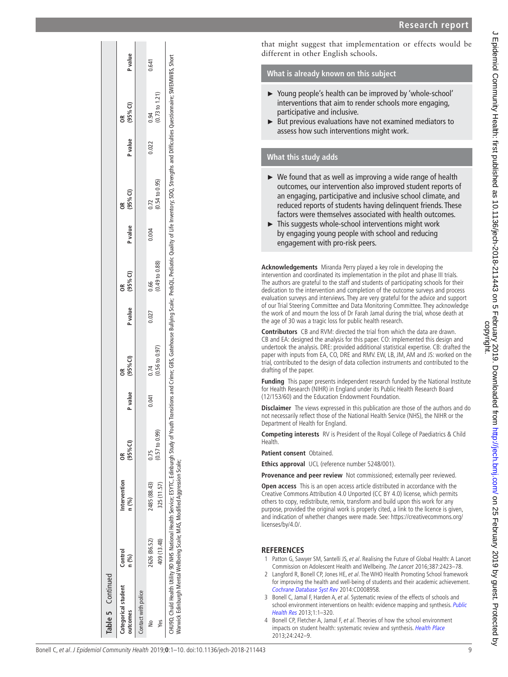| Table 5 Continued              |                                                                                                                                                                                                                                                                                                             |                       |                           |         |                           |                  |                           |         |                           |                  |                |                |
|--------------------------------|-------------------------------------------------------------------------------------------------------------------------------------------------------------------------------------------------------------------------------------------------------------------------------------------------------------|-----------------------|---------------------------|---------|---------------------------|------------------|---------------------------|---------|---------------------------|------------------|----------------|----------------|
| Categorical student<br>utcomes | Control<br>n (%)                                                                                                                                                                                                                                                                                            | Intervention<br>n (%) | (95% <sup>°</sup>         | P value | $(95\%$ CI)<br>ã          | P value (95% CI) | g                         | P value | (95% <sup>2</sup> )<br>g  | P value (95% CI) | g              | <b>P</b> value |
| Contact with police            |                                                                                                                                                                                                                                                                                                             |                       |                           |         |                           |                  |                           |         |                           |                  |                |                |
|                                | 2626 (86.52)                                                                                                                                                                                                                                                                                                | 2485 (88.43)          | 0.75                      | 0.041   | 0.74                      | 0.027            | 0.66                      | 0.004   | 0.72                      | 0.022            | 0.94           | 0.641          |
| Yes                            | 409 (13.48)                                                                                                                                                                                                                                                                                                 | 325 (11.57)           | $(0.57 \text{ to } 0.99)$ |         | $(0.56 \text{ to } 0.97)$ |                  | $(0.49 \text{ to } 0.88)$ |         | $(0.54 \text{ to } 0.95)$ |                  | (0.73 to 1.21) |                |
|                                | :HUBD, Chuld Health Utility 9D NHS National Health Service; ESYTC, Edinburgh Study of Youth Transitions and Crime; GBS, Gatehouse Bullying Scale; PedsQL, Pediatric Quality of Life Inventory; SDQ, Strengths and Difficulties<br>Varwick Edinburgh Mental Wellbeing Scale; MAS, Modified Aggression Scale; |                       |                           |         |                           |                  |                           |         |                           |                  |                |                |

that might suggest that implementation or effects would be different in other English schools.

## **What is already known on this subject**

- ► Young people's health can be improved by 'whole-school' interventions that aim to render schools more engaging, participative and inclusive.
- ► But previous evaluations have not examined mediators to assess how such interventions might work.

# **What this study adds**

- ► We found that as well as improving a wide range of health outcomes, our intervention also improved student reports of an engaging, participative and inclusive school climate, and reduced reports of students having delinquent friends. These factors were themselves associated with health outcomes.
- ► This suggests whole-school interventions might work by engaging young people with school and reducing engagement with pro-risk peers.

**Acknowledgements** Miranda Perry played a key role in developing the intervention and coordinated its implementation in the pilot and phase III trials. The authors are grateful to the staff and students of participating schools for their dedication to the intervention and completion of the outcome surveys and process evaluation surveys and interviews. They are very grateful for the advice and support of our Trial Steering Committee and Data Monitoring Committee. They acknowledge the work of and mourn the loss of Dr Farah Jamal during the trial, whose death at the age of 30 was a tragic loss for public health research.

**Contributors** CB and RVM: directed the trial from which the data are drawn. CB and EA: designed the analysis for this paper. CO: implemented this design and undertook the analysis. DRE: provided additional statistical expertise. CB: drafted the paper with inputs from EA, CO, DRE and RMV. EW, LB, JM, AM and JS: worked on the trial, contributed to the design of data collection instruments and contributed to the drafting of the paper.

**Funding** This paper presents independent research funded by the National Institute for Health Research (NIHR) in England under its Public Health Research Board (12/153/60) and the Education Endowment Foundation.

**Disclaimer** The views expressed in this publication are those of the authors and do not necessarily reflect those of the National Health Service (NHS), the NIHR or the Department of Health for England.

**Competing interests** RV is President of the Royal College of Paediatrics & Child Health.

**Patient consent** Obtained.

**Ethics approval** UCL (reference number 5248/001).

**Provenance and peer review** Not commissioned; externally peer reviewed.

**Open access** This is an open access article distributed in accordance with the Creative Commons Attribution 4.0 Unported (CC BY 4.0) license, which permits others to copy, redistribute, remix, transform and build upon this work for any purpose, provided the original work is properly cited, a link to the licence is given, and indication of whether changes were made. See: [https://creativecommons.org/](https://creativecommons.org/licenses/by/4.0/) [licenses/by/4.0/.](https://creativecommons.org/licenses/by/4.0/)

## **References**

- <span id="page-8-0"></span>1 Patton G, Sawyer SM, Santelli JS, et al. Realising the Future of Global Health: A Lancet Commission on Adolescent Health and Wellbeing. The Lancet 2016;387:2423–78.
- <span id="page-8-1"></span>2 Langford R, Bonell CP, Jones HE, et al. The WHO Health Promoting School framework for improving the health and well-being of students and their academic achievement. [Cochrane Database Syst Rev](http://dx.doi.org/10.1002/14651858.CD008958.pub2) 2014:CD008958.
- <span id="page-8-2"></span>3 Bonell C, Jamal F, Harden A, et al. Systematic review of the effects of schools and school environment interventions on health: evidence mapping and synthesis. Public [Health Res](http://dx.doi.org/10.3310/phr01010) 2013;1:1–320.
- <span id="page-8-3"></span>4 Bonell CP, Fletcher A, Jamal F, et al. Theories of how the school environment impacts on student health: systematic review and synthesis. [Health Place](http://dx.doi.org/10.1016/j.healthplace.2013.09.014) 2013;24:242–9.